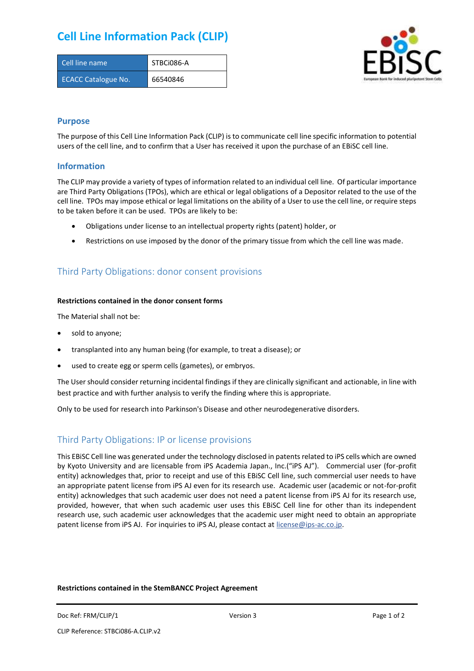## **Cell Line Information Pack (CLIP)**

| Cell line name             | STBCi086-A |
|----------------------------|------------|
| <b>ECACC Catalogue No.</b> | 66540846   |



### **Purpose**

The purpose of this Cell Line Information Pack (CLIP) is to communicate cell line specific information to potential users of the cell line, and to confirm that a User has received it upon the purchase of an EBiSC cell line.

#### **Information**

The CLIP may provide a variety of types of information related to an individual cell line. Of particular importance are Third Party Obligations (TPOs), which are ethical or legal obligations of a Depositor related to the use of the cell line. TPOs may impose ethical or legal limitations on the ability of a User to use the cell line, or require steps to be taken before it can be used. TPOs are likely to be:

- Obligations under license to an intellectual property rights (patent) holder, or
- Restrictions on use imposed by the donor of the primary tissue from which the cell line was made.

## Third Party Obligations: donor consent provisions

#### **Restrictions contained in the donor consent forms**

The Material shall not be:

- sold to anyone;
- transplanted into any human being (for example, to treat a disease); or
- used to create egg or sperm cells (gametes), or embryos.

The User should consider returning incidental findings if they are clinically significant and actionable, in line with best practice and with further analysis to verify the finding where this is appropriate.

Only to be used for research into Parkinson's Disease and other neurodegenerative disorders.

## Third Party Obligations: IP or license provisions

This EBiSC Cell line was generated under the technology disclosed in patents related to iPS cells which are owned by Kyoto University and are licensable from iPS Academia Japan., Inc.("iPS AJ"). Commercial user (for-profit entity) acknowledges that, prior to receipt and use of this EBiSC Cell line, such commercial user needs to have an appropriate patent license from iPS AJ even for its research use. Academic user (academic or not-for-profit entity) acknowledges that such academic user does not need a patent license from iPS AJ for its research use, provided, however, that when such academic user uses this EBiSC Cell line for other than its independent research use, such academic user acknowledges that the academic user might need to obtain an appropriate patent license from iPS AJ. For inquiries to iPS AJ, please contact at [license@ips-ac.co.jp.](mailto:license@ips-ac.co.jp)

#### **Restrictions contained in the StemBANCC Project Agreement**